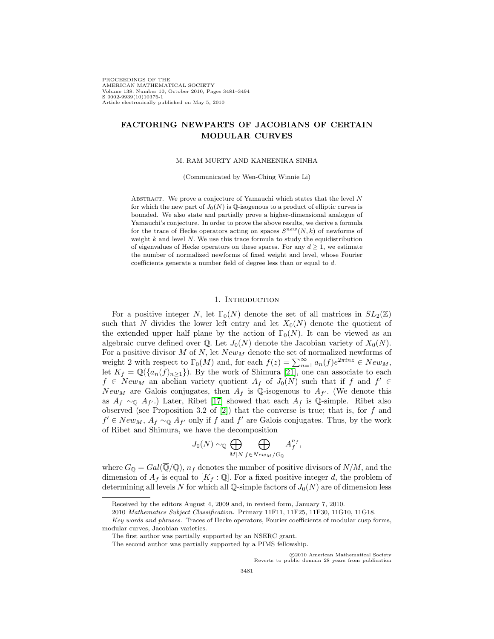PROCEEDINGS OF THE AMERICAN MATHEMATICAL SOCIETY Volume 138, Number 10, October 2010, Pages 3481–3494 S 0002-9939(10)10376-1 Article electronically published on May 5, 2010

# **FACTORING NEWPARTS OF JACOBIANS OF CERTAIN MODULAR CURVES**

M. RAM MURTY AND KANEENIKA SINHA

(Communicated by Wen-Ching Winnie Li)

ABSTRACT. We prove a conjecture of Yamauchi which states that the level  $N$ for which the new part of  $J_0(N)$  is  $\mathbb{Q}$ -isogenous to a product of elliptic curves is bounded. We also state and partially prove a higher-dimensional analogue of Yamauchi's conjecture. In order to prove the above results, we derive a formula for the trace of Hecke operators acting on spaces  $S^{new}(N, k)$  of newforms of weight  $k$  and level  $N$ . We use this trace formula to study the equidistribution of eigenvalues of Hecke operators on these spaces. For any  $d \geq 1$ , we estimate the number of normalized newforms of fixed weight and level, whose Fourier coefficients generate a number field of degree less than or equal to d.

### 1. INTRODUCTION

For a positive integer N, let  $\Gamma_0(N)$  denote the set of all matrices in  $SL_2(\mathbb{Z})$ such that N divides the lower left entry and let  $X_0(N)$  denote the quotient of the extended upper half plane by the action of  $\Gamma_0(N)$ . It can be viewed as an algebraic curve defined over  $\mathbb{Q}$ . Let  $J_0(N)$  denote the Jacobian variety of  $X_0(N)$ . For a positive divisor  $M$  of  $N$ , let  $New<sub>M</sub>$  denote the set of normalized newforms of weight 2 with respect to  $\Gamma_0(M)$  and, for each  $f(z) = \sum_{n=1}^{\infty} a_n(f) e^{2\pi i nz} \in New_M$ , let  $K_f = \mathbb{Q}(\{a_n(f)_{n\geq 1}\})$ . By the work of Shimura [\[21\]](#page-13-0), one can associate to each  $f \in New_M$  an abelian variety quotient  $A_f$  of  $J_0(N)$  such that if f and  $f' \in$ New<sub>M</sub> are Galois conjugates, then  $A_f$  is Q-isogenous to  $A_{f'}$ . (We denote this as  $A_f \sim_{\mathbb{Q}} A_{f'}$ .) Later, Ribet [\[17\]](#page-12-0) showed that each  $A_f$  is  $\mathbb{Q}$ -simple. Ribet also observed (see Proposition 3.2 of  $[2]$ ) that the converse is true; that is, for f and  $f' \in New_M$ ,  $A_f \sim_{\mathbb{Q}} A_{f'}$  only if f and f' are Galois conjugates. Thus, by the work of Ribet and Shimura, we have the decomposition

$$
J_0(N) \sim_\mathbb{Q} \bigoplus_{M|N} \bigoplus_{f \in New_M/G_\mathbb{Q}} A_f^{n_f},
$$

where  $G_{\mathbb{Q}} = Gal(\mathbb{Q}/\mathbb{Q}), n_f$  denotes the number of positive divisors of  $N/M$ , and the dimension of  $A_f$  is equal to  $[K_f : \mathbb{Q}]$ . For a fixed positive integer d, the problem of determining all levels N for which all Q-simple factors of  $J_0(N)$  are of dimension less

C2010 American Mathematical Society)<br>Reverts to public domain 28 years from publication c 2010 American Mathematical Society

Received by the editors August 4, 2009 and, in revised form, January 7, 2010.

<sup>2010</sup> Mathematics Subject Classification. Primary 11F11, 11F25, 11F30, 11G10, 11G18.

Key words and phrases. Traces of Hecke operators, Fourier coefficients of modular cusp forms, modular curves, Jacobian varieties.

The first author was partially supported by an NSERC grant.

The second author was partially supported by a PIMS fellowship.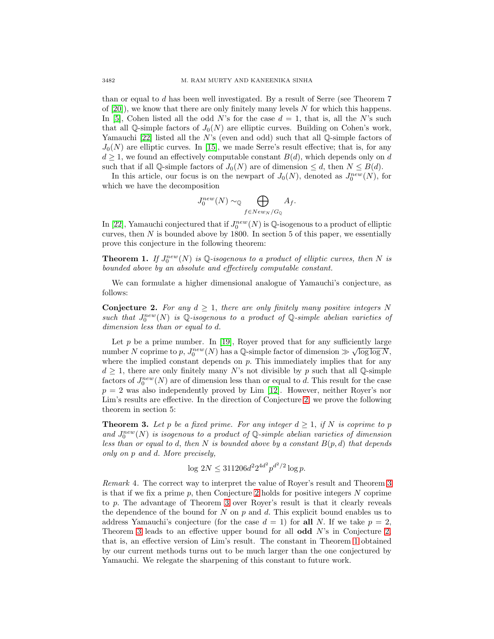than or equal to d has been well investigated. By a result of Serre (see Theorem 7 of  $[20]$ , we know that there are only finitely many levels N for which this happens. In [\[5\]](#page-12-3), Cohen listed all the odd N's for the case  $d = 1$ , that is, all the N's such that all Q-simple factors of  $J_0(N)$  are elliptic curves. Building on Cohen's work, Yamauchi [\[22\]](#page-13-1) listed all the N's (even and odd) such that all  $\mathbb Q$ -simple factors of  $J_0(N)$  are elliptic curves. In [\[15\]](#page-12-4), we made Serre's result effective; that is, for any  $d \geq 1$ , we found an effectively computable constant  $B(d)$ , which depends only on d such that if all Q-simple factors of  $J_0(N)$  are of dimension  $\leq d$ , then  $N \leq B(d)$ .

In this article, our focus is on the newpart of  $J_0(N)$ , denoted as  $J_0^{new}(N)$ , for which we have the decomposition

$$
J_0^{new}(N) \sim_{\mathbb{Q}} \bigoplus_{f \in New_N/G_{\mathbb{Q}}} A_f.
$$

In [\[22\]](#page-13-1), Yamauchi conjectured that if  $J_0^{new}(N)$  is  $\mathbb Q$ -isogenous to a product of elliptic curves, then  $N$  is bounded above by 1800. In section 5 of this paper, we essentially prove this conjecture in the following theorem:

<span id="page-1-2"></span>**Theorem 1.** If  $J_0^{new}(N)$  is Q-isogenous to a product of elliptic curves, then N is bounded above by an absolute and effectively computable constant.

<span id="page-1-0"></span>We can formulate a higher dimensional analogue of Yamauchi's conjecture, as follows:

**Conjecture 2.** For any  $d \geq 1$ , there are only finitely many positive integers N such that  $J_0^{new}(N)$  is Q-isogenous to a product of Q-simple abelian varieties of dimension less than or equal to d.

Let  $p$  be a prime number. In [\[19\]](#page-12-5), Royer proved that for any sufficiently large Let p be a prime number. In [19], Royer proved that for any sumclemity large<br>number N coprime to p,  $J_0^{new}(N)$  has a Q-simple factor of dimension  $\gg \sqrt{\log \log N}$ , where the implied constant depends on  $p$ . This immediately implies that for any  $d \geq 1$ , there are only finitely many N's not divisible by p such that all Q-simple factors of  $J_0^{new}(N)$  are of dimension less than or equal to d. This result for the case  $p = 2$  was also independently proved by Lim [\[12\]](#page-12-6). However, neither Royer's nor Lim's results are effective. In the direction of Conjecture [2,](#page-1-0) we prove the following theorem in section 5:

<span id="page-1-1"></span>**Theorem 3.** Let p be a fixed prime. For any integer  $d \geq 1$ , if N is coprime to p and  $J_0^{new}(N)$  is isogenous to a product of  $\mathbb Q$ -simple abelian varieties of dimension less than or equal to d, then N is bounded above by a constant  $B(p,d)$  that depends only on p and d. More precisely,

$$
\log 2N \le 311206d^2 2^{4d^2} p^{d^2/2} \log p.
$$

Remark 4. The correct way to interpret the value of Royer's result and Theorem [3](#page-1-1) is that if we fix a prime  $p$ , then Conjecture [2](#page-1-0) holds for positive integers  $N$  coprime to p. The advantage of Theorem [3](#page-1-1) over Royer's result is that it clearly reveals the dependence of the bound for  $N$  on  $p$  and  $d$ . This explicit bound enables us to address Yamauchi's conjecture (for the case  $d = 1$ ) for **all** N. If we take  $p = 2$ , Theorem [3](#page-1-1) leads to an effective upper bound for all **odd** N's in Conjecture [2,](#page-1-0) that is, an effective version of Lim's result. The constant in Theorem [1](#page-1-2) obtained by our current methods turns out to be much larger than the one conjectured by Yamauchi. We relegate the sharpening of this constant to future work.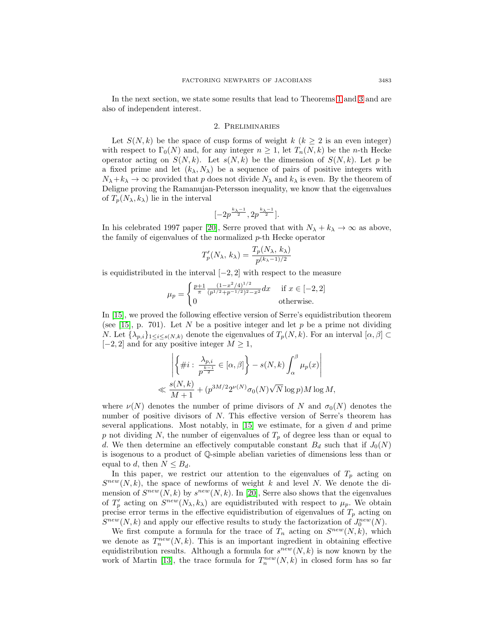In the next section, we state some results that lead to Theorems [1](#page-1-2) and [3](#page-1-1) and are also of independent interest.

### 2. Preliminaries

Let  $S(N, k)$  be the space of cusp forms of weight k  $(k \geq 2$  is an even integer) with respect to  $\Gamma_0(N)$  and, for any integer  $n \geq 1$ , let  $T_n(N, k)$  be the n-th Hecke operator acting on  $S(N, k)$ . Let  $s(N, k)$  be the dimension of  $S(N, k)$ . Let p be a fixed prime and let  $(k_{\lambda}, N_{\lambda})$  be a sequence of pairs of positive integers with  $N_{\lambda}+k_{\lambda} \rightarrow \infty$  provided that p does not divide  $N_{\lambda}$  and  $k_{\lambda}$  is even. By the theorem of Deligne proving the Ramanujan-Petersson inequality, we know that the eigenvalues of  $T_p(N_\lambda, k_\lambda)$  lie in the interval

$$
[-2p^{\frac{k_{\lambda}-1}{2}},2p^{\frac{k_{\lambda}-1}{2}}].
$$

In his celebrated 1997 paper [\[20\]](#page-12-2), Serre proved that with  $N_{\lambda} + k_{\lambda} \rightarrow \infty$  as above, the family of eigenvalues of the normalized  $p$ -th Hecke operator

$$
T_p'(N_\lambda, k_\lambda) = \frac{T_p(N_\lambda, k_\lambda)}{p^{(k_\lambda - 1)/2}}
$$

is equidistributed in the interval  $[-2, 2]$  with respect to the measure

$$
\mu_p = \begin{cases} \frac{p+1}{\pi} \frac{(1-x^2/4)^{1/2}}{(p^{1/2}+p^{-1/2})^2 - x^2} dx & \text{if } x \in [-2,2] \\ 0 & \text{otherwise.} \end{cases}
$$

In [\[15\]](#page-12-4), we proved the following effective version of Serre's equidistribution theorem (see [\[15\]](#page-12-4), p. 701). Let N be a positive integer and let  $p$  be a prime not dividing N. Let  $\{\lambda_{p,i}\}_{1\leq i\leq s(N,k)}$  denote the eigenvalues of  $T_p(N,k)$ . For an interval  $[\alpha,\beta]\subset$  $[-2, 2]$  and for any positive integer  $M \geq 1$ ,

$$
\left| \left\{ \#i : \frac{\lambda_{p,i}}{p^{\frac{k-1}{2}}} \in [\alpha, \beta] \right\} - s(N, k) \int_{\alpha}^{\beta} \mu_p(x) \right|
$$
  

$$
\ll \frac{s(N, k)}{M + 1} + (p^{3M/2} 2^{\nu(N)} \sigma_0(N) \sqrt{N} \log p) M \log M,
$$

where  $\nu(N)$  denotes the number of prime divisors of N and  $\sigma_0(N)$  denotes the number of positive divisors of N. This effective version of Serre's theorem has several applications. Most notably, in  $[15]$  we estimate, for a given d and prime p not dividing N, the number of eigenvalues of  $T_p$  of degree less than or equal to d. We then determine an effectively computable constant  $B_d$  such that if  $J_0(N)$ is isogenous to a product of Q-simple abelian varieties of dimensions less than or equal to d, then  $N \leq B_d$ .

In this paper, we restrict our attention to the eigenvalues of  $T_p$  acting on  $S^{new}(N, k)$ , the space of newforms of weight k and level N. We denote the dimension of  $S^{new}(N, k)$  by  $s^{new}(N, k)$ . In [\[20\]](#page-12-2), Serre also shows that the eigenvalues of  $T_p'$  acting on  $S^{new}(N_\lambda, k_\lambda)$  are equidistributed with respect to  $\mu_p$ . We obtain precise error terms in the effective equidistribution of eigenvalues of  $T_p$  acting on  $S^{new}(N,k)$  and apply our effective results to study the factorization of  $J_0^{new}(N)$ .

We first compute a formula for the trace of  $T_n$  acting on  $S^{new}(N, k)$ , which we denote as  $T_n^{new}(N, k)$ . This is an important ingredient in obtaining effective equidistribution results. Although a formula for  $s^{new}(N, k)$  is now known by the work of Martin [\[13\]](#page-12-7), the trace formula for  $T_n^{new}(N,k)$  in closed form has so far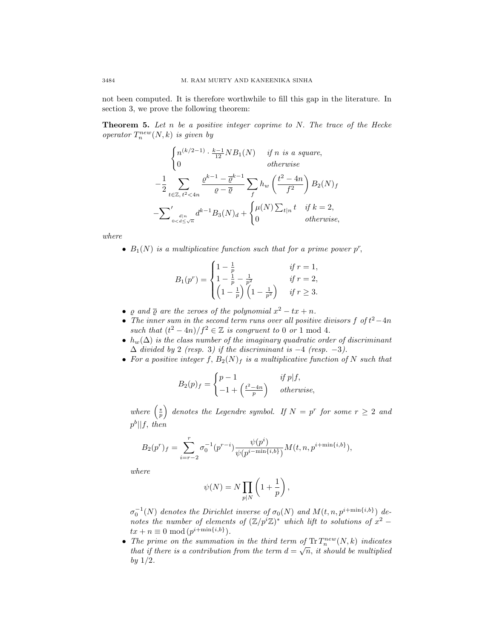<span id="page-3-0"></span>not been computed. It is therefore worthwhile to fill this gap in the literature. In section 3, we prove the following theorem:

**Theorem 5.** Let n be a positive integer coprime to N. The trace of the Hecke operator  $T_n^{new}(N,k)$  is given by

$$
\begin{cases}\nn^{(k/2-1)} \cdot \frac{k-1}{12} NB_1(N) & \text{if } n \text{ is a square,} \\
0 & \text{otherwise}\n\end{cases}
$$
\n
$$
-\frac{1}{2} \sum_{t \in \mathbb{Z}, t^2 < 4n} \frac{\varrho^{k-1} - \overline{\varrho}^{k-1}}{\varrho - \overline{\varrho}} \sum_{f} h_w \left(\frac{t^2 - 4n}{f^2}\right) B_2(N)_f
$$
\n
$$
-\sum_{0 < d \le \sqrt{n}}' d^{k-1} B_3(N)_d + \begin{cases}\n\mu(N) \sum_{t|n} t & \text{if } k = 2, \\
0 & \text{otherwise,}\n\end{cases}
$$

where

•  $B_1(N)$  is a multiplicative function such that for a prime power  $p^r$ ,

$$
B_1(p^r) = \begin{cases} 1 - \frac{1}{p} & \text{if } r = 1, \\ 1 - \frac{1}{p} - \frac{1}{p^2} & \text{if } r = 2, \\ \left(1 - \frac{1}{p}\right)\left(1 - \frac{1}{p^2}\right) & \text{if } r \ge 3. \end{cases}
$$

- $\rho$  and  $\overline{\rho}$  are the zeroes of the polynomial  $x^2 tx + n$ .
- The inner sum in the second term runs over all positive divisors  $f$  of  $t^2-4n$ such that  $(t^2 - 4n)/f^2 \in \mathbb{Z}$  is congruent to 0 or 1 mod 4.
- $h_w(\Delta)$  is the class number of the imaginary quadratic order of discriminant  $\Delta$  divided by 2 (resp. 3) if the discriminant is  $-4$  (resp.  $-3$ ).
- For a positive integer f,  $B_2(N)_f$  is a multiplicative function of N such that

$$
B_2(p)_f = \begin{cases} p-1 & \text{if } p \mid f, \\ -1 + \left(\frac{t^2 - 4n}{p}\right) & otherwise, \end{cases}
$$

where  $\left(\frac{*}{p}\right)$  denotes the Legendre symbol. If  $N = p^r$  for some  $r \geq 2$  and  $p^b||f, then$ 

$$
B_2(p^r)_f = \sum_{i=r-2}^r \sigma_0^{-1}(p^{r-i}) \frac{\psi(p^i)}{\psi(p^{i-\min\{i,b\}})} M(t,n,p^{i+\min\{i,b\}}),
$$

where

$$
\psi(N) = N \prod_{p|N} \left( 1 + \frac{1}{p} \right),\,
$$

 $\sigma_0^{-1}(N)$  denotes the Dirichlet inverse of  $\sigma_0(N)$  and  $M(t, n, p^{i + \min\{i, b\}})$  denotes the number of elements of  $(\mathbb{Z}/p^i\mathbb{Z})^*$  which lift to solutions of  $x^2$  –  $tx + n \equiv 0 \mod (p^{i + \min\{i, b\}}).$ 

• The prime on the summation in the third term of  $\text{Tr} T_n^{new}(N, k)$  indicates that if there is a contribution from the term  $d = \sqrt{n}$ , it should be multiplied by  $1/2$ .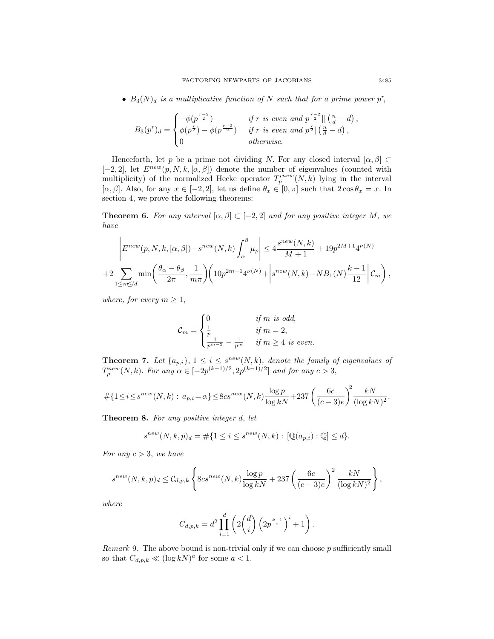•  $B_3(N)_d$  is a multiplicative function of N such that for a prime power p<sup>r</sup>,

$$
B_3(p^r)_d = \begin{cases} -\phi(p^{\frac{r-2}{2}}) & \text{if } r \text{ is even and } p^{\frac{r-2}{2}} || \left(\frac{n}{d} - d\right), \\ \phi(p^{\frac{r}{2}}) - \phi(p^{\frac{r-2}{2}}) & \text{if } r \text{ is even and } p^{\frac{r}{2}} || \left(\frac{n}{d} - d\right), \\ 0 & \text{otherwise.} \end{cases}
$$

Henceforth, let p be a prime not dividing N. For any closed interval  $[\alpha, \beta] \subset$ [-2, 2], let  $E^{new}(p, N, k, [\alpha, \beta])$  denote the number of eigenvalues (counted with multiplicity) of the normalized Hecke operator  $T_p^{new}(N, k)$  lying in the interval [ $\alpha, \beta$ ]. Also, for any  $x \in [-2, 2]$ , let us define  $\theta_x \in [0, \pi]$  such that  $2 \cos \theta_x = x$ . In section 4, we prove the following theorems:

<span id="page-4-0"></span>**Theorem 6.** For any interval  $[\alpha, \beta] \subset [-2, 2]$  and for any positive integer M, we have

$$
\left| E^{new}(p, N, k, [\alpha, \beta]) - s^{new}(N, k) \int_{\alpha}^{\beta} \mu_p \right| \le 4 \frac{s^{new}(N, k)}{M + 1} + 19p^{2M + 1}4^{\nu(N)} + 2 \sum_{1 \le m \le M} \min \left( \frac{\theta_{\alpha} - \theta_{\beta}}{2\pi}, \frac{1}{m\pi} \right) \left( 10p^{2m + 1}4^{\nu(N)} + \left| s^{new}(N, k) - NB_1(N) \frac{k - 1}{12} \right| \mathcal{C}_m \right),
$$

where, for every  $m \geq 1$ ,

$$
\mathcal{C}_m = \begin{cases} 0 & \text{if } m \text{ is odd,} \\ \frac{1}{p} & \text{if } m = 2, \\ \frac{1}{p^{m-2}} - \frac{1}{p^m} & \text{if } m \ge 4 \text{ is even.} \end{cases}
$$

<span id="page-4-1"></span>**Theorem 7.** Let  $\{a_{p,i}\}\$ ,  $1 \leq i \leq s^{new}(N,k)$ , denote the family of eigenvalues of  $T_p^{new}(N, k)$ . For any  $\alpha \in [-2p^{(k-1)/2}, 2p^{(k-1)/2}]$  and for any  $c > 3$ ,

$$
\# \{ 1 \le i \le s^{new}(N,k) : a_{p,i} = \alpha \} \le 8cs^{new}(N,k) \frac{\log p}{\log kN} + 237 \left( \frac{6c}{(c-3)e} \right)^2 \frac{kN}{(\log kN)^2}.
$$

<span id="page-4-2"></span>**Theorem 8.** For any positive integer d, let

$$
s^{new}(N,k,p)_d = \# \{ 1 \le i \le s^{new}(N,k) : [\mathbb{Q}(a_{p,i}) : \mathbb{Q}] \le d \}.
$$

For any  $c > 3$ , we have

$$
s^{new}(N,k,p)_d \leq C_{d,p,k} \left\{ 8cs^{new}(N,k) \frac{\log p}{\log kN} + 237 \left( \frac{6c}{(c-3)e} \right)^2 \frac{kN}{(\log kN)^2} \right\},\,
$$

where

$$
C_{d,p,k} = d^2 \prod_{i=1}^d \left( 2 \binom{d}{i} \left( 2p^{\frac{k-1}{2}} \right)^i + 1 \right).
$$

*Remark* 9. The above bound is non-trivial only if we can choose  $p$  sufficiently small so that  $C_{d,p,k} \ll (\log kN)^a$  for some  $a < 1$ .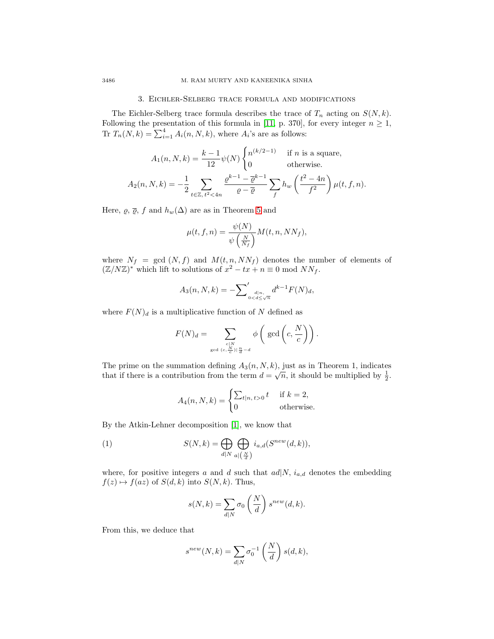# 3. Eichler-Selberg trace formula and modifications

The Eichler-Selberg trace formula describes the trace of  $T_n$  acting on  $S(N, k)$ . Following the presentation of this formula in [\[11,](#page-12-8) p. 370], for every integer  $n \geq 1$ , Tr  $T_n(N, k) = \sum_{i=1}^4 A_i(n, N, k)$ , where  $A_i$ 's are as follows:

$$
A_1(n, N, k) = \frac{k-1}{12} \psi(N) \begin{cases} n^{(k/2-1)} & \text{if } n \text{ is a square,} \\ 0 & \text{otherwise.} \end{cases}
$$

$$
A_2(n, N, k) = -\frac{1}{2} \sum_{t \in \mathbb{Z}, t^2 < 4n} \frac{\varrho^{k-1} - \overline{\varrho}^{k-1}}{\varrho - \overline{\varrho}} \sum_f h_w \left(\frac{t^2 - 4n}{f^2}\right) \mu(t, f, n).
$$

Here,  $\varrho$ ,  $\overline{\varrho}$ , f and  $h_w(\Delta)$  are as in Theorem [5](#page-3-0) and

$$
\mu(t, f, n) = \frac{\psi(N)}{\psi\left(\frac{N}{N_f}\right)} M(t, n, NN_f),
$$

where  $N_f = \gcd(N, f)$  and  $M(t, n, N N_f)$  denotes the number of elements of  $(\mathbb{Z}/N\mathbb{Z})^*$  which lift to solutions of  $x^2 - tx + n \equiv 0 \mod NN_f$ .

$$
A_3(n, N, k) = -\sum_{\substack{d|n,\\0 < d \le \sqrt{n}}} d^{k-1} F(N)_d,
$$

where  $F(N)<sub>d</sub>$  is a multiplicative function of N defined as

$$
F(N)_d = \sum_{\substack{c|N \ \gcd(c,\frac{N}{c})|\frac{n}{d}-d}} \phi\left(\gcd\left(c,\frac{N}{c}\right)\right).
$$

The prime on the summation defining  $A_3(n, N, k)$ , just as in Theorem 1, indicates The prime on the summation defining  $A_3(h, N, k)$ , just as in Theorem 1, indicates that if there is a contribution from the term  $d = \sqrt{n}$ , it should be multiplied by  $\frac{1}{2}$ .

<span id="page-5-0"></span>
$$
A_4(n, N, k) = \begin{cases} \sum_{t|n, t>0} t & \text{if } k = 2, \\ 0 & \text{otherwise.} \end{cases}
$$

By the Atkin-Lehner decomposition [\[1\]](#page-12-9), we know that

(1) 
$$
S(N,k) = \bigoplus_{d|N} \bigoplus_{a|\left(\frac{N}{d}\right)} i_{a,d}(S^{new}(d,k)),
$$

where, for positive integers a and d such that  $ad|N, i_{a,d}$  denotes the embedding  $f(z) \mapsto f(az)$  of  $S(d, k)$  into  $S(N, k)$ . Thus,

$$
s(N,k) = \sum_{d|N} \sigma_0 \left(\frac{N}{d}\right) s^{new}(d,k).
$$

From this, we deduce that

$$
s^{new}(N,k) = \sum_{d|N} \sigma_0^{-1} \left(\frac{N}{d}\right) s(d,k),
$$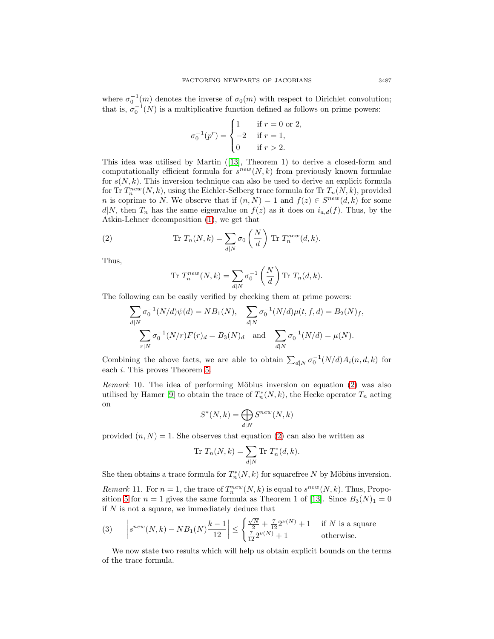where  $\sigma_0^{-1}(m)$  denotes the inverse of  $\sigma_0(m)$  with respect to Dirichlet convolution; that is,  $\sigma_0^{-1}(N)$  is a multiplicative function defined as follows on prime powers:

$$
\sigma_0^{-1}(p^r) = \begin{cases} 1 & \text{if } r = 0 \text{ or } 2, \\ -2 & \text{if } r = 1, \\ 0 & \text{if } r > 2. \end{cases}
$$

This idea was utilised by Martin ([\[13\]](#page-12-7), Theorem 1) to derive a closed-form and computationally efficient formula for  $s^{new}(N, k)$  from previously known formulae for  $s(N, k)$ . This inversion technique can also be used to derive an explicit formula for Tr  $T_n^{new}(N, k)$ , using the Eichler-Selberg trace formula for Tr  $T_n(N, k)$ , provided *n* is coprime to *N*. We observe that if  $(n, N) = 1$  and  $f(z) \in S^{new}(d, k)$  for some  $d|N$ , then  $T_n$  has the same eigenvalue on  $f(z)$  as it does on  $i_{a,d}(f)$ . Thus, by the Atkin-Lehner decomposition [\(1\)](#page-5-0), we get that

(2) 
$$
\text{Tr } T_n(N,k) = \sum_{d|N} \sigma_0 \left(\frac{N}{d}\right) \text{ Tr } T_n^{new}(d,k).
$$

Thus,

<span id="page-6-0"></span>Tr 
$$
T_n^{new}(N,k) = \sum_{d|N} \sigma_0^{-1} \left(\frac{N}{d}\right)
$$
 Tr  $T_n(d,k)$ .

The following can be easily verified by checking them at prime powers:

$$
\sum_{d|N} \sigma_0^{-1}(N/d)\psi(d) = NB_1(N), \quad \sum_{d|N} \sigma_0^{-1}(N/d)\mu(t, f, d) = B_2(N)_f,
$$

$$
\sum_{r|N} \sigma_0^{-1}(N/r)F(r)_d = B_3(N)_d \quad \text{and} \quad \sum_{d|N} \sigma_0^{-1}(N/d) = \mu(N).
$$

Combining the above facts, we are able to obtain  $\sum_{d|N} \sigma_0^{-1}(N/d) A_i(n, d, k)$  for each i. This proves Theorem [5.](#page-3-0)

Remark 10. The idea of performing Möbius inversion on equation  $(2)$  was also utilised by Hamer [\[9\]](#page-12-10) to obtain the trace of  $T_n^*(N, k)$ , the Hecke operator  $T_n$  acting on

$$
S^*(N,k) = \bigoplus_{d|N} S^{new}(N,k)
$$

provided  $(n, N) = 1$ . She observes that equation [\(2\)](#page-6-0) can also be written as

<span id="page-6-2"></span>
$$
\text{Tr } T_n(N,k) = \sum_{d|N} \text{Tr } T_n^*(d,k).
$$

She then obtains a trace formula for  $T_n^*(N, k)$  for squarefree N by Möbius inversion.

*Remark* 11. For  $n = 1$ , the trace of  $T_n^{new}(N, k)$  is equal to  $s^{new}(N, k)$ . Thus, Propo-sition [5](#page-3-0) for  $n = 1$  gives the same formula as Theorem 1 of [\[13\]](#page-12-7). Since  $B_3(N)_1 = 0$ if  $N$  is not a square, we immediately deduce that

(3) 
$$
\left| s^{new}(N,k) - NB_1(N) \frac{k-1}{12} \right| \le \begin{cases} \frac{\sqrt{N}}{2} + \frac{7}{12} 2^{\nu(N)} + 1 & \text{if } N \text{ is a square} \\ \frac{7}{12} 2^{\nu(N)} + 1 & \text{otherwise.} \end{cases}
$$

<span id="page-6-1"></span>We now state two results which will help us obtain explicit bounds on the terms of the trace formula.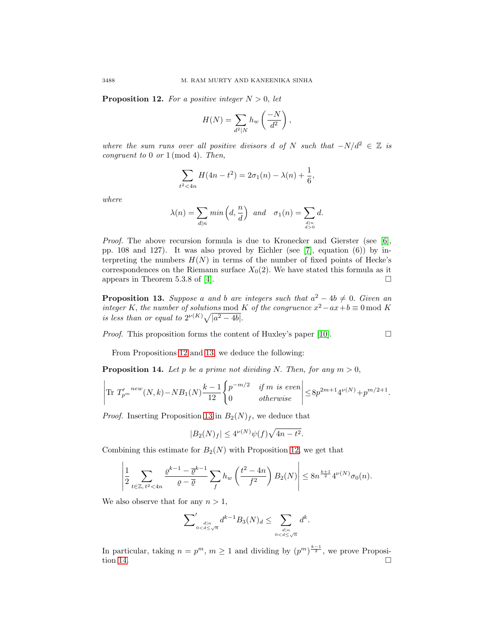**Proposition 12.** For a positive integer  $N > 0$ , let

$$
H(N) = \sum_{d^2|N} h_w \left(\frac{-N}{d^2}\right),\,
$$

where the sum runs over all positive divisors d of N such that  $-N/d^2 \in \mathbb{Z}$  is congruent to 0 or 1 (mod 4). Then,

$$
\sum_{t^2 < 4n} H(4n - t^2) = 2\sigma_1(n) - \lambda(n) + \frac{1}{6},
$$

where

$$
\lambda(n) = \sum_{d|n} \min\left(d, \frac{n}{d}\right) \text{ and } \sigma_1(n) = \sum_{\substack{d|n \\ d>0}} d.
$$

Proof. The above recursion formula is due to Kronecker and Gierster (see [\[6\]](#page-12-11), pp. 108 and 127). It was also proved by Eichler (see [\[7\]](#page-12-12), equation (6)) by interpreting the numbers  $H(N)$  in terms of the number of fixed points of Hecke's correspondences on the Riemann surface  $X_0(2)$ . We have stated this formula as it appears in Theorem 5.3.8 of [\[4\]](#page-12-13).  $\Box$ 

<span id="page-7-0"></span>**Proposition 13.** Suppose a and b are integers such that  $a^2 - 4b \neq 0$ . Given an integer K, the number of solutions mod K of the congruence  $x^2 - ax + b \equiv 0 \mod K$ is less than or equal to  $2^{\nu(K)}\sqrt{|a^2-4b|}$ .

Proof. This proposition forms the content of Huxley's paper [\[10\]](#page-12-14).

$$
\overline{\Box}
$$

From Propositions [12](#page-6-1) and [13,](#page-7-0) we deduce the following:

<span id="page-7-1"></span>**Proposition 14.** Let p be a prime not dividing N. Then, for any  $m > 0$ ,

$$
\left| \text{Tr} \ T'_{p^m}^{new}(N,k) - NB_1(N) \frac{k-1}{12} \begin{cases} p^{-m/2} & \text{if } m \text{ is even} \\ 0 & \text{otherwise} \end{cases} \right| \le 8p^{2m+1} 4^{\nu(N)} + p^{m/2+1}.
$$

*Proof.* Inserting Proposition [13](#page-7-0) in  $B_2(N)_f$ , we deduce that

$$
|B_2(N)_f| \le 4^{\nu(N)}\psi(f)\sqrt{4n - t^2}.
$$

Combining this estimate for  $B_2(N)$  with Proposition [12,](#page-6-1) we get that

$$
\left|\frac{1}{2}\sum_{t\in\mathbb{Z},\ t^2<4n}\frac{\varrho^{k-1}-\overline{\varrho}^{k-1}}{\varrho-\overline{\varrho}}\sum_{f}h_w\left(\frac{t^2-4n}{f^2}\right)B_2(N)\right|\leq 8n^{\frac{k+1}{2}}4^{\nu(N)}\sigma_0(n).
$$

We also observe that for any  $n > 1$ ,

$$
\sum\nolimits_{0
$$

In particular, taking  $n = p^m$ ,  $m \ge 1$  and dividing by  $(p^m)^{\frac{k-1}{2}}$ , we prove Proposi-tion [14.](#page-7-1)  $\Box$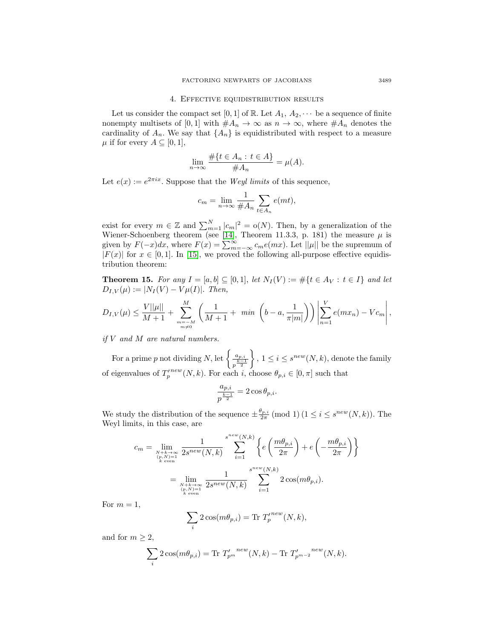### 4. Effective equidistribution results

Let us consider the compact set [0, 1] of R. Let  $A_1, A_2, \cdots$  be a sequence of finite nonempty multisets of [0, 1] with  $#A_n \to \infty$  as  $n \to \infty$ , where  $#A_n$  denotes the cardinality of  $A_n$ . We say that  $\{A_n\}$  is equidistributed with respect to a measure  $\mu$  if for every  $A \subseteq [0,1],$ 

$$
\lim_{n \to \infty} \frac{\#\{t \in A_n : t \in A\}}{\#A_n} = \mu(A).
$$

Let  $e(x) := e^{2\pi ix}$ . Suppose that the *Weyl limits* of this sequence,

$$
c_m = \lim_{n \to \infty} \frac{1}{\#A_n} \sum_{t \in A_n} e(mt),
$$

exist for every  $m \in \mathbb{Z}$  and  $\sum_{m=1}^{N} |c_m|^2 = o(N)$ . Then, by a generalization of the Wiener-Schoenberg theorem (see [\[14\]](#page-12-15), Theorem 11.3.3, p. 181) the measure  $\mu$  is given by  $F(-x)dx$ , where  $F(x) = \sum_{m=-\infty}^{\infty} c_m e(mx)$ . Let  $||\mu||$  be the supremum of  $|F(x)|$  for  $x \in [0,1]$ . In [\[15\]](#page-12-4), we proved the following all-purpose effective equidistribution theorem:

<span id="page-8-0"></span>**Theorem 15.** For any  $I = [a, b] \subseteq [0, 1]$ , let  $N_I(V) := \#\{t \in A_V : t \in I\}$  and let  $D_{I,V}(\mu) := |N_I(V) - V\mu(I)|.$  Then,

$$
D_{I,V}(\mu) \leq \frac{V||\mu||}{M+1} + \sum_{\substack{m=-M \\ m \neq 0}}^{M} \left( \frac{1}{M+1} + \min\left(b-a, \frac{1}{\pi|m|}\right) \right) \left| \sum_{n=1}^{V} e(mx_n) - Vc_m \right|,
$$

if V and M are natural numbers.

For a prime p not dividing N, let  $\begin{cases} \frac{a_{p,i}}{p^{\frac{k-1}{2}}} \end{cases}$  $\}, 1 \leq i \leq s^{new}(N, k),$  denote the family of eigenvalues of  $T_p^{new}(N, k)$ . For each i, choose  $\theta_{p,i} \in [0, \pi]$  such that

$$
\frac{a_{p,i}}{p^{\frac{k-1}{2}}}=2\cos\theta_{p,i}.
$$

We study the distribution of the sequence  $\pm \frac{\theta_{p,i}}{2\pi} \pmod{1}$   $(1 \leq i \leq s^{new}(N,k)).$  The Weyl limits, in this case, are

$$
c_m = \lim_{\substack{N+k \to \infty \\ (p,N)=1 \\ k \text{ even}}} \frac{1}{2s^{new}(N,k)} \sum_{i=1}^{s^{new}(N,k)} \left\{ e\left(\frac{m\theta_{p,i}}{2\pi}\right) + e\left(-\frac{m\theta_{p,i}}{2\pi}\right) \right\}
$$

$$
= \lim_{\substack{N+k \to \infty \\ (p,N)=1 \\ k \text{ even}}} \frac{1}{2s^{new}(N,k)} \sum_{i=1}^{s^{new}(N,k)} 2\cos(m\theta_{p,i}).
$$

For  $m = 1$ ,

$$
\sum_{i} 2 \cos(m\theta_{p,i}) = \text{Tr } T_p^{new}(N,k),
$$

and for  $m \geq 2$ ,

$$
\sum_{i} 2 \cos(m\theta_{p,i}) = \text{Tr } T'_{p^m}^{new}(N,k) - \text{Tr } T'_{p^{m-2}}^{new}(N,k).
$$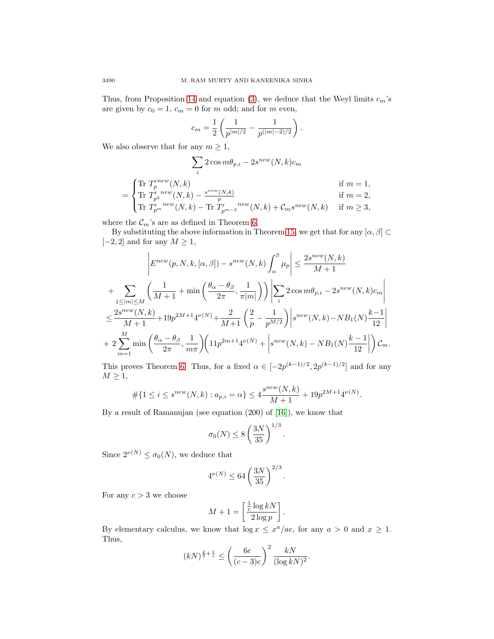Thus, from Proposition [14](#page-7-1) and equation [\(3\)](#page-6-2), we deduce that the Weyl limits  $c_m$ 's are given by  $c_0 = 1$ ,  $c_m = 0$  for m odd; and for m even,

$$
c_m = \frac{1}{2} \left( \frac{1}{p^{|m|/2}} - \frac{1}{p^{|m|-2)/2}} \right).
$$

We also observe that for any  $m \geq 1$ ,

$$
\sum_{i} 2 \cos m\theta_{p,i} - 2s^{new}(N,k)c_m
$$
  
= 
$$
\begin{cases} \text{Tr } T_p^{new}(N,k) & \text{if } m = 1, \\ \text{Tr } T_{p}^{new}(N,k) - \frac{s^{new}(N,k)}{p} & \text{if } m = 2, \\ \text{Tr } T_{p}^{new}(N,k) - \text{Tr } T_{p^{m-2}}^{new}(N,k) + C_m s^{new}(N,k) & \text{if } m \ge 3, \end{cases}
$$

where the  $\mathcal{C}_m$ 's are as defined in Theorem [6.](#page-4-0)

By substituting the above information in Theorem [15,](#page-8-0) we get that for any  $[\alpha, \beta] \subset$  $[-2, 2]$  and for any  $M \geq 1$ ,

$$
\left| E^{new}(p, N, k, [\alpha, \beta]) - s^{new}(N, k) \int_{\alpha}^{\beta} \mu_p \right| \leq \frac{2s^{new}(N, k)}{M + 1}
$$
  
+ 
$$
\sum_{1 \leq |m| \leq M} \left( \frac{1}{M + 1} + \min \left( \frac{\theta_{\alpha} - \theta_{\beta}}{2\pi}, \frac{1}{\pi |m|} \right) \right) \left| \sum_{i} 2 \cos m \theta_{p, i} - 2s^{new}(N, k) c_m \right|
$$
  

$$
\leq \frac{2s^{new}(N, k)}{M + 1} + 19p^{2M + 1}4^{\nu(N)} + \frac{2}{M + 1} \left( \frac{2}{p} - \frac{1}{p^{M/2}} \right) \left| s^{new}(N, k) - NB_1(N) \frac{k - 1}{12} \right|
$$
  
+ 
$$
2 \sum_{m=1}^{M} \min \left( \frac{\theta_{\alpha} - \theta_{\beta}}{2\pi}, \frac{1}{m\pi} \right) \left( 11p^{2m+1}4^{\nu(N)} + \left| s^{new}(N, k) - NB_1(N) \frac{k - 1}{12} \right| \right) \mathcal{C}_m.
$$

This proves Theorem [6.](#page-4-0) Thus, for a fixed  $\alpha \in [-2p^{(k-1)/2}, 2p^{(k-1)/2}]$  and for any  $M \geq 1$ ,

$$
\#\{1 \le i \le s^{new}(N,k) : a_{p,i} = \alpha\} \le 4\frac{s^{new}(N,k)}{M+1} + 19p^{2M+1}4^{\nu(N)}.
$$

By a result of Ramanujan (see equation (200) of [\[16\]](#page-12-16)), we know that

$$
\sigma_0(N) \le 8\left(\frac{3N}{35}\right)^{1/3}.
$$

Since  $2^{\nu(N)} \leq \sigma_0(N)$ , we deduce that

$$
4^{\nu(N)} \le 64 \left(\frac{3N}{35}\right)^{2/3}.
$$

For any  $c > 3$  we choose

$$
M + 1 = \left[\frac{\frac{1}{c}\log kN}{2\log p}\right].
$$

By elementary calculus, we know that  $\log x \leq x^a/ae$ , for any  $a > 0$  and  $x \geq 1$ . Thus,

$$
(kN)^{\frac{2}{3} + \frac{1}{c}} \le \left(\frac{6c}{(c-3)e}\right)^2 \frac{kN}{(\log kN)^2}.
$$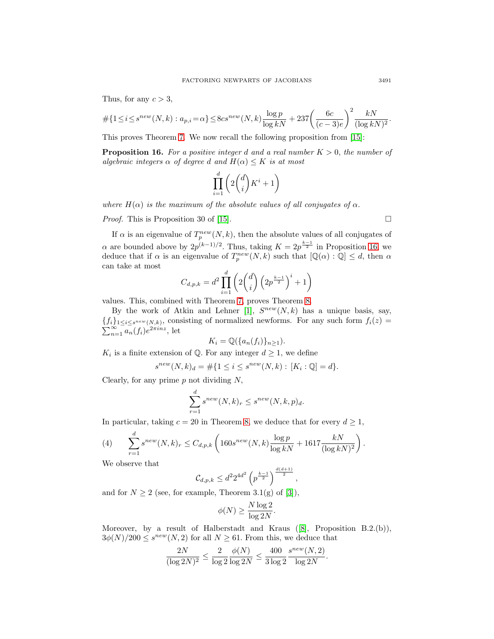Thus, for any  $c > 3$ ,

$$
\# \{ 1 \le i \le s^{new}(N,k) : a_{p,i} = \alpha \} \le 8cs^{new}(N,k) \frac{\log p}{\log kN} + 237 \left( \frac{6c}{(c-3)e} \right)^2 \frac{kN}{(\log kN)^2}.
$$

<span id="page-10-0"></span>This proves Theorem [7.](#page-4-1) We now recall the following proposition from [\[15\]](#page-12-4):

**Proposition 16.** For a positive integer d and a real number  $K > 0$ , the number of algebraic integers  $\alpha$  of degree d and  $H(\alpha) \leq K$  is at most

$$
\prod_{i=1}^d \left( 2\binom{d}{i} K^i + 1 \right)
$$

where  $H(\alpha)$  is the maximum of the absolute values of all conjugates of  $\alpha$ .

*Proof.* This is Proposition 30 of [\[15\]](#page-12-4).

If  $\alpha$  is an eigenvalue of  $T_p^{new}(N, k)$ , then the absolute values of all conjugates of  $\alpha$  are bounded above by  $2p^{(k-1)/2}$ . Thus, taking  $K = 2p^{\frac{k-1}{2}}$  in Proposition [16,](#page-10-0) we deduce that if  $\alpha$  is an eigenvalue of  $T_p^{new}(N, k)$  such that  $[\mathbb{Q}(\alpha) : \mathbb{Q}] \leq d$ , then  $\alpha$ can take at most

$$
C_{d,p,k} = d^2 \prod_{i=1}^{d} \left( 2 \binom{d}{i} \left( 2p^{\frac{k-1}{2}} \right)^i + 1 \right)
$$

values. This, combined with Theorem [7,](#page-4-1) proves Theorem [8.](#page-4-2)

By the work of Atkin and Lehner [\[1\]](#page-12-9),  $S^{new}(N, k)$  has a unique basis, say,  ${\{f_i\}_{1\leq i\leq s^{new}(N,k)}$ , consisting of normalized newforms. For any such form  $f_i(z)$  $\sum_{n=1}^{\infty} a_n(f_i) e^{2\pi i n z}$ , let

$$
K_i = \mathbb{Q}(\{a_n(f_i)\}_{n \ge 1}).
$$

 $K_i$  is a finite extension of Q. For any integer  $d \geq 1$ , we define

$$
s^{new}(N,k)_d = \# \{ 1 \le i \le s^{new}(N,k) : [K_i : \mathbb{Q}] = d \}.
$$

Clearly, for any prime  $p$  not dividing  $N$ ,

<span id="page-10-1"></span>
$$
\sum_{r=1}^{d} s^{new}(N,k)_r \leq s^{new}(N,k,p)_d.
$$

In particular, taking  $c = 20$  in Theorem [8,](#page-4-2) we deduce that for every  $d \geq 1$ ,

(4) 
$$
\sum_{r=1}^{d} s^{new}(N,k)_r \leq C_{d,p,k} \left( 160s^{new}(N,k) \frac{\log p}{\log kN} + 1617 \frac{kN}{(\log kN)^2} \right).
$$

We observe that

$$
\mathcal{C}_{d,p,k} \leq d^2 2^{4d^2} \left( p^{\frac{k-1}{2}} \right)^{\frac{d(d+1)}{2}},
$$

and for  $N \geq 2$  (see, for example, Theorem 3.1(g) of [\[3\]](#page-12-17)),

$$
\phi(N) \ge \frac{N \log 2}{\log 2N}.
$$

Moreover, by a result of Halberstadt and Kraus ([\[8\]](#page-12-18), Proposition B.2.(b)),  $3\phi(N)/200 \leq s^{new}(N, 2)$  for all  $N \geq 61$ . From this, we deduce that

$$
\frac{2N}{(\log 2N)^2} \leq \frac{2}{\log 2} \frac{\phi(N)}{\log 2N} \leq \frac{400}{3\log 2} \frac{s^{new}(N,2)}{\log 2N}.
$$

 $\Box$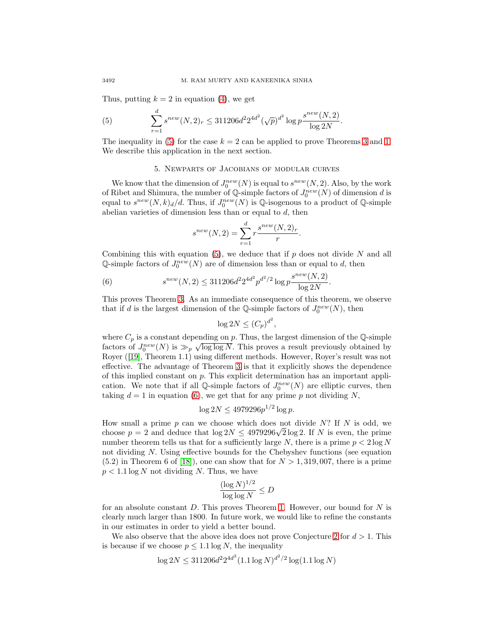Thus, putting  $k = 2$  in equation [\(4\)](#page-10-1), we get

(5) 
$$
\sum_{r=1}^{d} s^{new}(N,2)_r \leq 311206d^2 2^{4d^2} (\sqrt{p})^{d^2} \log p \frac{s^{new}(N,2)}{\log 2N}.
$$

The inequality in [\(5\)](#page-11-0) for the case  $k = 2$  can be applied to prove Theorems [3](#page-1-1) and [1.](#page-1-2) We describe this application in the next section.

## <span id="page-11-0"></span>5. Newparts of Jacobians of modular curves

We know that the dimension of  $J_0^{new}(N)$  is equal to  $s^{new}(N, 2)$ . Also, by the work of Ribet and Shimura, the number of  $\mathbb{Q}$ -simple factors of  $J_0^{new}(N)$  of dimension d is equal to  $s^{new}(N,k)_{d}/d$ . Thus, if  $J_0^{new}(N)$  is  $\mathbb{Q}$ -isogenous to a product of  $\mathbb{Q}$ -simple abelian varieties of dimension less than or equal to  $d$ , then

$$
s^{new}(N,2) = \sum_{r=1}^{d} r \frac{s^{new}(N,2)_r}{r}.
$$

Combining this with equation [\(5\)](#page-11-0), we deduce that if  $p$  does not divide  $N$  and all  $\mathbb{Q}\text{-simple factors of }J_0^{new}(N)$  are of dimension less than or equal to d, then

(6) 
$$
s^{new}(N,2) \le 311206d^2 2^{4d^2} p^{d^2/2} \log p \frac{s^{new}(N,2)}{\log 2N}.
$$

This proves Theorem [3.](#page-1-1) As an immediate consequence of this theorem, we observe that if d is the largest dimension of the Q-simple factors of  $J_0^{new}(N)$ , then

<span id="page-11-1"></span>
$$
\log 2N \le (C_p)^{d^2},
$$

where  $C_p$  is a constant depending on p. Thus, the largest dimension of the Q-simple where  $C_p$  is a constant depending on p. Thus, the largest dimension of the  $\mathbb{Q}$ -simple factors of  $J_0^{new}(N)$  is  $\gg_p \sqrt{\log \log N}$ . This proves a result previously obtained by Royer ([\[19\]](#page-12-5), Theorem 1.1) using different methods. However, Royer's result was not effective. The advantage of Theorem [3](#page-1-1) is that it explicitly shows the dependence of this implied constant on  $p$ . This explicit determination has an important application. We note that if all Q-simple factors of  $J_0^{new}(N)$  are elliptic curves, then taking  $d = 1$  in equation [\(6\)](#page-11-1), we get that for any prime p not dividing N,

$$
\log 2N \le 4979296 p^{1/2} \log p.
$$

How small a prime p can we choose which does not divide  $N$ ? If N is odd, we From small a prime p can we choose which does not divide N: If N is odd, we choose  $p = 2$  and deduce that  $\log 2N \leq 4979296\sqrt{2} \log 2$ . If N is even, the prime number theorem tells us that for a sufficiently large N, there is a prime  $p < 2 \log N$ not dividing N. Using effective bounds for the Chebyshev functions (see equation  $(5.2)$  in Theorem 6 of [\[18\]](#page-12-19)), one can show that for  $N > 1,319,007$ , there is a prime  $p < 1.1 \log N$  not dividing N. Thus, we have

$$
\frac{(\log N)^{1/2}}{\log \log N} \leq D
$$

for an absolute constant  $D$ . This proves Theorem [1.](#page-1-2) However, our bound for  $N$  is clearly much larger than 1800. In future work, we would like to refine the constants in our estimates in order to yield a better bound.

We also observe that the above idea does not prove Conjecture [2](#page-1-0) for  $d > 1$ . This is because if we choose  $p \leq 1.1 \log N$ , the inequality

$$
\log 2N \le 311206d^2 2^{4d^2} (1.1 \log N)^{d^2/2} \log(1.1 \log N)
$$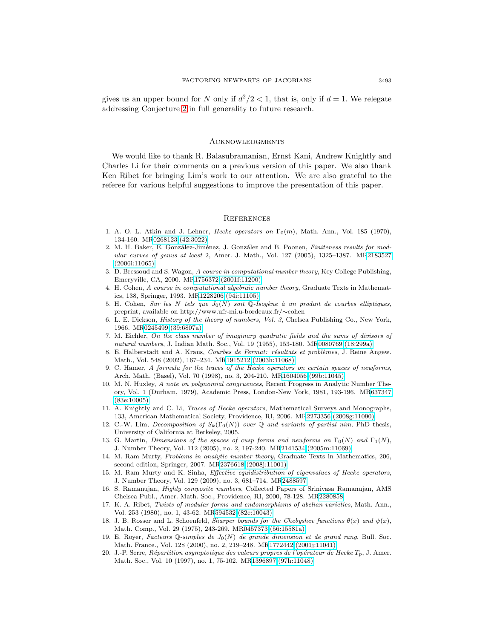gives us an upper bound for N only if  $d^2/2 < 1$ , that is, only if  $d = 1$ . We relegate addressing Conjecture [2](#page-1-0) in full generality to future research.

#### Acknowledgments

We would like to thank R. Balasubramanian, Ernst Kani, Andrew Knightly and Charles Li for their comments on a previous version of this paper. We also thank Ken Ribet for bringing Lim's work to our attention. We are also grateful to the referee for various helpful suggestions to improve the presentation of this paper.

#### **REFERENCES**

- <span id="page-12-9"></span>1. A. O. L. Atkin and J. Lehner, *Hecke operators on*  $\Gamma_0(m)$ , Math. Ann., Vol. 185 (1970), 134-160. M[R0268123 \(42:3022\)](http://www.ams.org/mathscinet-getitem?mr=0268123)
- <span id="page-12-1"></span>2. M. H. Baker, E. González-Jiménez, J. González and B. Poonen, Finiteness results for modular curves of genus at least 2, Amer. J. Math., Vol. 127 (2005), 1325–1387. M[R2183527](http://www.ams.org/mathscinet-getitem?mr=2183527) [\(2006i:11065\)](http://www.ams.org/mathscinet-getitem?mr=2183527)
- <span id="page-12-17"></span>3. D. Bressoud and S. Wagon, A course in computational number theory, Key College Publishing, Emeryville, CA, 2000. M[R1756372 \(2001f:11200\)](http://www.ams.org/mathscinet-getitem?mr=1756372)
- <span id="page-12-13"></span>4. H. Cohen, A course in computational algebraic number theory, Graduate Texts in Mathematics, 138, Springer, 1993. M[R1228206 \(94i:11105\)](http://www.ams.org/mathscinet-getitem?mr=1228206)
- <span id="page-12-3"></span>5. H. Cohen, Sur les N tels que  $J_0(N)$  soit Q-Isogène à un produit de courbes elliptiques, preprint, available on http://www.ufr-mi.u-bordeaux.fr/∼cohen
- <span id="page-12-11"></span>6. L. E. Dickson, History of the theory of numbers, Vol. 3, Chelsea Publishing Co., New York, 1966. M[R0245499 \(39:6807a\)](http://www.ams.org/mathscinet-getitem?mr=0245499)
- <span id="page-12-12"></span>7. M. Eichler, On the class number of imaginary quadratic fields and the sums of divisors of natural numbers, J. Indian Math. Soc., Vol. 19 (1955), 153-180. M[R0080769 \(18:299a\)](http://www.ams.org/mathscinet-getitem?mr=0080769)
- <span id="page-12-18"></span>8. E. Halberstadt and A. Kraus, Courbes de Fermat: résultats et problèmes, J. Reine Angew. Math., Vol. 548 (2002), 167–234. M[R1915212 \(2003h:11068\)](http://www.ams.org/mathscinet-getitem?mr=1915212)
- <span id="page-12-10"></span>9. C. Hamer, A formula for the traces of the Hecke operators on certain spaces of newforms, Arch. Math. (Basel), Vol. 70 (1998), no. 3, 204-210. M[R1604056 \(99b:11045\)](http://www.ams.org/mathscinet-getitem?mr=1604056)
- <span id="page-12-14"></span>10. M. N. Huxley, A note on polynomial congruences, Recent Progress in Analytic Number Theory, Vol. 1 (Durham, 1979), Academic Press, London-New York, 1981, 193-196. M[R637347](http://www.ams.org/mathscinet-getitem?mr=637347) [\(83e:10005\)](http://www.ams.org/mathscinet-getitem?mr=637347)
- <span id="page-12-8"></span>11. A. Knightly and C. Li, Traces of Hecke operators, Mathematical Surveys and Monographs, 133, American Mathematical Society, Providence, RI, 2006. M[R2273356 \(2008g:11090\)](http://www.ams.org/mathscinet-getitem?mr=2273356)
- <span id="page-12-6"></span>12. C.-W. Lim, Decomposition of  $S_k(\Gamma_0(N))$  over Q and variants of partial nim, PhD thesis, University of California at Berkeley, 2005.
- <span id="page-12-7"></span>13. G. Martin, Dimensions of the spaces of cusp forms and newforms on  $\Gamma_0(N)$  and  $\Gamma_1(N)$ , J. Number Theory, Vol. 112 (2005), no. 2, 197-240. M[R2141534 \(2005m:11069\)](http://www.ams.org/mathscinet-getitem?mr=2141534)
- <span id="page-12-15"></span>14. M. Ram Murty, Problems in analytic number theory, Graduate Texts in Mathematics, 206, second edition, Springer, 2007. M[R2376618 \(2008j:11001\)](http://www.ams.org/mathscinet-getitem?mr=2376618)
- <span id="page-12-4"></span>15. M. Ram Murty and K. Sinha, Effective equidistribution of eigenvalues of Hecke operators, J. Number Theory, Vol. 129 (2009), no. 3, 681–714. M[R2488597](http://www.ams.org/mathscinet-getitem?mr=2488597)
- <span id="page-12-16"></span>16. S. Ramanujan, Highly composite numbers, Collected Papers of Srinivasa Ramanujan, AMS Chelsea Publ., Amer. Math. Soc., Providence, RI, 2000, 78-128. M[R2280858](http://www.ams.org/mathscinet-getitem?mr=2280858)
- <span id="page-12-0"></span>17. K. A. Ribet, Twists of modular forms and endomorphisms of abelian varieties, Math. Ann., Vol. 253 (1980), no. 1, 43-62. M[R594532 \(82e:10043\)](http://www.ams.org/mathscinet-getitem?mr=594532)
- <span id="page-12-19"></span>18. J. B. Rosser and L. Schoenfeld, Sharper bounds for the Chebyshev functions  $\theta(x)$  and  $\psi(x)$ , Math. Comp., Vol. 29 (1975), 243-269. M[R0457373 \(56:15581a\)](http://www.ams.org/mathscinet-getitem?mr=0457373)
- <span id="page-12-5"></span>19. E. Royer, Facteurs Q-simples de  $J_0(N)$  de grande dimension et de grand rang, Bull. Soc. Math. France., Vol. 128 (2000), no. 2, 219–248. M[R1772442 \(2001j:11041\)](http://www.ams.org/mathscinet-getitem?mr=1772442)
- <span id="page-12-2"></span>20. J.-P. Serre, Répartition asymptotique des valeurs propres de l'opérateur de Hecke  $T_p$ , J. Amer. Math. Soc., Vol. 10 (1997), no. 1, 75-102. M[R1396897 \(97h:11048\)](http://www.ams.org/mathscinet-getitem?mr=1396897)